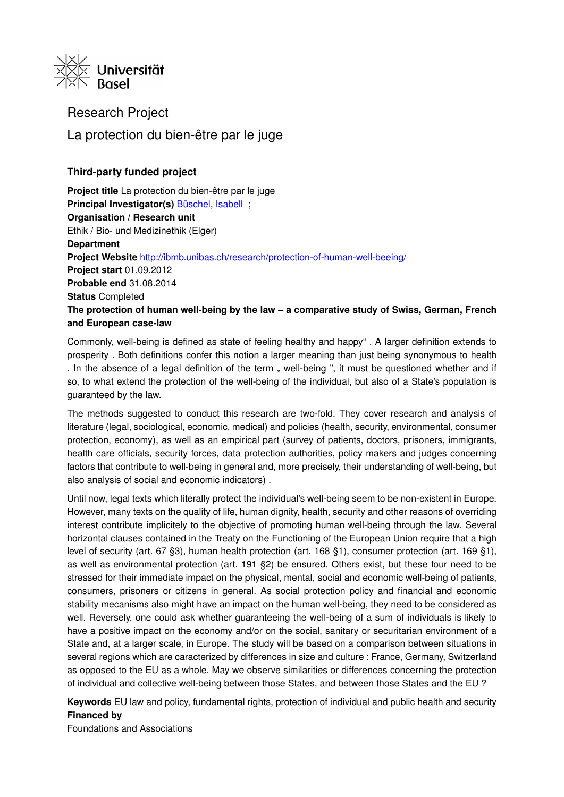

Research Project La protection du bien-être par le juge

# **Third-party funded project**

**Project title** La protection du bien-être par le juge **Principal Investigator(s)** [Büschel, Isabell](https://forschdb2.unibas.ch/inf2/profiles_view/profile_view.php?pid=4e8a79ae75664&int=2) ; **Organisation / Research unit** Ethik / Bio- und Medizinethik (Elger) **Department Project Website** <http://ibmb.unibas.ch/research/protection-of-human-well-beeing/> **Project start** 01.09.2012 **Probable end** 31.08.2014 **Status** Completed **The protection of human well-being by the law – a comparative study of Swiss, German, French and European case-law**

Commonly, well-being is defined as state of feeling healthy and happy" . A larger definition extends to prosperity . Both definitions confer this notion a larger meaning than just being synonymous to health . In the absence of a legal definition of the term  $\ldots$  well-being ", it must be questioned whether and if so, to what extend the protection of the well-being of the individual, but also of a State's population is guaranteed by the law.

The methods suggested to conduct this research are two-fold. They cover research and analysis of literature (legal, sociological, economic, medical) and policies (health, security, environmental, consumer protection, economy), as well as an empirical part (survey of patients, doctors, prisoners, immigrants, health care officials, security forces, data protection authorities, policy makers and judges concerning factors that contribute to well-being in general and, more precisely, their understanding of well-being, but also analysis of social and economic indicators) .

Until now, legal texts which literally protect the individual's well-being seem to be non-existent in Europe. However, many texts on the quality of life, human dignity, health, security and other reasons of overriding interest contribute implicitely to the objective of promoting human well-being through the law. Several horizontal clauses contained in the Treaty on the Functioning of the European Union require that a high level of security (art. 67 §3), human health protection (art. 168 §1), consumer protection (art. 169 §1), as well as environmental protection (art. 191 §2) be ensured. Others exist, but these four need to be stressed for their immediate impact on the physical, mental, social and economic well-being of patients, consumers, prisoners or citizens in general. As social protection policy and financial and economic stability mecanisms also might have an impact on the human well-being, they need to be considered as well. Reversely, one could ask whether guaranteeing the well-being of a sum of individuals is likely to have a positive impact on the economy and/or on the social, sanitary or securitarian environment of a State and, at a larger scale, in Europe. The study will be based on a comparison between situations in several regions which are caracterized by differences in size and culture : France, Germany, Switzerland as opposed to the EU as a whole. May we observe similarities or differences concerning the protection of individual and collective well-being between those States, and between those States and the EU ?

**Keywords** EU law and policy, fundamental rights, protection of individual and public health and security **Financed by**

Foundations and Associations